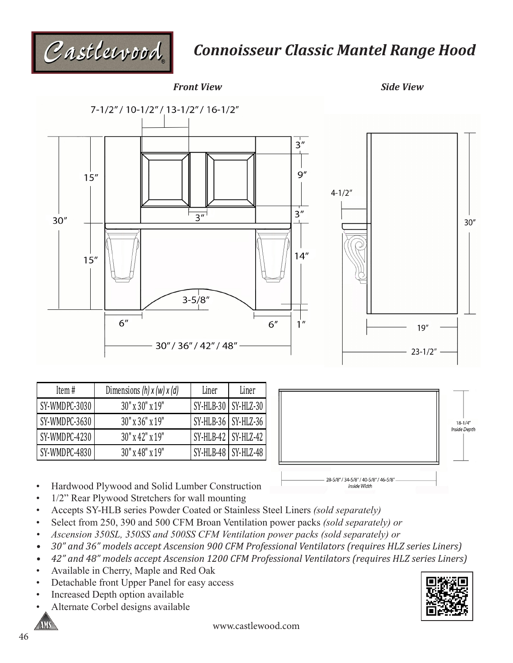

## *Connoisseur Classic Mantel Range Hood*



| Item#         | Dimensions $(h)$ x $(w)$ x $(d)$ | Liner                 | Liner |
|---------------|----------------------------------|-----------------------|-------|
| SY-WMDPC-3030 | $30''$ x $30''$ x $19''$         | SY-HLB-30 SY-HLZ-30   |       |
| SY-WMDPC-3630 | $30"$ x $36"$ x $19"$            | SY-HLB-36   SY-HLZ-36 |       |
| SY-WMDPC-4230 | $30''$ x 42" x 19"               | SY-HLB-42 SY-HLZ-42   |       |
| SY-WMDPC-4830 | $30''$ x 48" x 19"               | SY-HLB-48 SY-HLZ-48   |       |



- Hardwood Plywood and Solid Lumber Construction
- 1/2" Rear Plywood Stretchers for wall mounting
- Accepts SY-HLB series Powder Coated or Stainless Steel Liners *(sold separately)*
- Select from 250, 390 and 500 CFM Broan Ventilation power packs *(sold separately) or*
- *• Ascension 350SL, 350SS and 500SS CFM Ventilation power packs (sold separately) or*
- *• 30" and 36" models accept Ascension 900 CFM Professional Ventilators (requires HLZ series Liners)*
- *• 42" and 48" models accept Ascension 1200 CFM Professional Ventilators (requires HLZ series Liners)*
- Available in Cherry, Maple and Red Oak
- Detachable front Upper Panel for easy access
- Increased Depth option available
- Alternate Corbel designs available